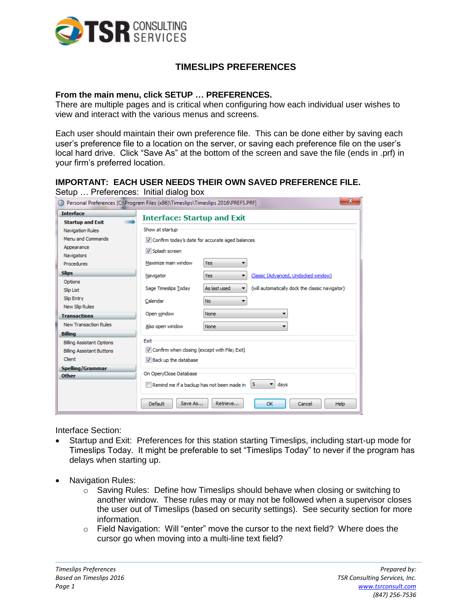

## **TIMESLIPS PREFERENCES**

## **From the main menu, click SETUP … PREFERENCES.**

There are multiple pages and is critical when configuring how each individual user wishes to view and interact with the various menus and screens.

Each user should maintain their own preference file. This can be done either by saving each user's preference file to a location on the server, or saving each preference file on the user's local hard drive. Click "Save As" at the bottom of the screen and save the file (ends in .prf) in your firm's preferred location.

## **IMPORTANT: EACH USER NEEDS THEIR OWN SAVED PREFERENCE FILE.**

Setup … Preferences: Initial dialog box

| $\overline{\mathbf{x}}$<br>Personal Preferences [C:\Program Files (x86)\Timeslips\Timeslips 2016\PREFS.PRF] |                                                                                                                                                                                   |                   |                                                 |
|-------------------------------------------------------------------------------------------------------------|-----------------------------------------------------------------------------------------------------------------------------------------------------------------------------------|-------------------|-------------------------------------------------|
| <b>Interface</b><br><b>Startup and Exit</b>                                                                 | <b>Interface: Startup and Exit</b>                                                                                                                                                |                   |                                                 |
| Navigation Rules                                                                                            | Show at startup                                                                                                                                                                   |                   |                                                 |
| Menu and Commands                                                                                           | Confirm today's date for accurate aged balances                                                                                                                                   |                   |                                                 |
| Appearance<br>Navigators                                                                                    | V Splash screen                                                                                                                                                                   |                   |                                                 |
| Procedures                                                                                                  | Maximize main window                                                                                                                                                              | <b>Yes</b>        |                                                 |
| <b>Slips</b>                                                                                                | Navigator                                                                                                                                                                         | Yes               | Classic (Advanced, Undocked window)             |
| Options<br><b>Slip List</b>                                                                                 | Sage Timeslips Today                                                                                                                                                              | As last used<br>▼ | (will automatically dock the classic navigator) |
| Slip Entry<br>New Slip Rules                                                                                | Calendar                                                                                                                                                                          | <b>No</b>         |                                                 |
| <b>Transactions</b>                                                                                         | Open window                                                                                                                                                                       | <b>None</b>       |                                                 |
| <b>New Transaction Rules</b>                                                                                | Also open window                                                                                                                                                                  | <b>None</b>       |                                                 |
| <b>Billing</b>                                                                                              |                                                                                                                                                                                   |                   |                                                 |
| <b>Billing Assistant Options</b><br><b>Billing Assistant Buttons</b><br>Client                              | Exit<br>Confirm when closing (except with File; Exit)<br>V Back up the database<br>On Open/Close Database<br>5 <sub>5</sub><br>davs<br>Remind me if a backup has not been made in |                   |                                                 |
| <b>Spelling/Grammar</b><br><b>Other</b>                                                                     |                                                                                                                                                                                   |                   |                                                 |
|                                                                                                             | Default<br>Save As                                                                                                                                                                | Retrieve          | OK<br>Cancel<br><b>Help</b>                     |

Interface Section:

- Startup and Exit: Preferences for this station starting Timeslips, including start-up mode for Timeslips Today. It might be preferable to set "Timeslips Today" to never if the program has delays when starting up.
- Navigation Rules:
	- $\circ$  Saving Rules: Define how Timeslips should behave when closing or switching to another window. These rules may or may not be followed when a supervisor closes the user out of Timeslips (based on security settings). See security section for more information.
	- $\circ$  Field Navigation: Will "enter" move the cursor to the next field? Where does the cursor go when moving into a multi-line text field?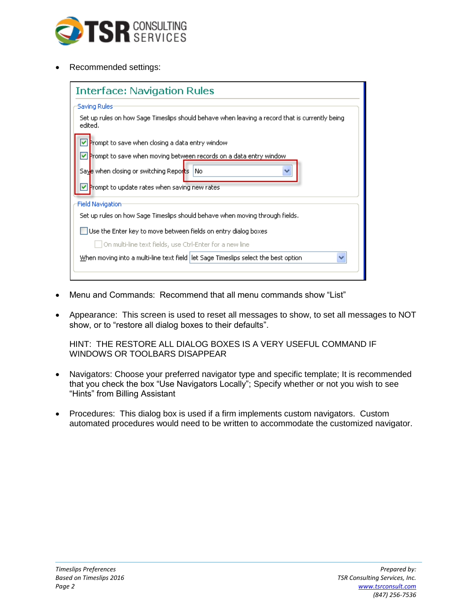

Recommended settings:

| <b>Interface: Navigation Rules</b>                                                                                                                                                        |  |  |
|-------------------------------------------------------------------------------------------------------------------------------------------------------------------------------------------|--|--|
| Saving Rules <sup>.</sup><br>Set up rules on how Sage Timeslips should behave when leaving a record that is currently being<br>edited.<br>Prompt to save when closing a data entry window |  |  |
| ↵<br>Prompt to save when moving between records on a data entry window<br>Sav <mark>e when closing or switching Repor</mark> ts  <br>No<br>Prompt to update rates when saving new rates   |  |  |
| <b>Field Navigation</b>                                                                                                                                                                   |  |  |
| Set up rules on how Sage Timeslips should behave when moving through fields.                                                                                                              |  |  |
| Use the Enter key to move between fields on entry dialog boxes<br>On multi-line text fields, use Ctrl-Enter for a new line                                                                |  |  |
| When moving into a multi-line text field let Sage Timeslips select the best option                                                                                                        |  |  |

- Menu and Commands: Recommend that all menu commands show "List"
- Appearance: This screen is used to reset all messages to show, to set all messages to NOT show, or to "restore all dialog boxes to their defaults".

HINT: THE RESTORE ALL DIALOG BOXES IS A VERY USEFUL COMMAND IF WINDOWS OR TOOLBARS DISAPPEAR

- Navigators: Choose your preferred navigator type and specific template; It is recommended that you check the box "Use Navigators Locally"; Specify whether or not you wish to see "Hints" from Billing Assistant
- Procedures: This dialog box is used if a firm implements custom navigators. Custom automated procedures would need to be written to accommodate the customized navigator.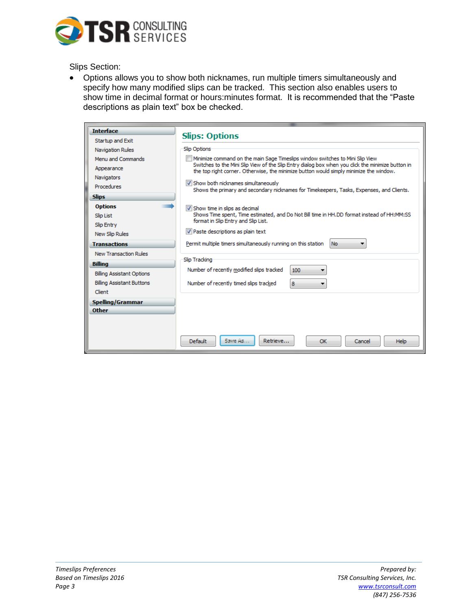

Slips Section:

 Options allows you to show both nicknames, run multiple timers simultaneously and specify how many modified slips can be tracked. This section also enables users to show time in decimal format or hours:minutes format. It is recommended that the "Paste descriptions as plain text" box be checked.

| <b>Interface</b>                 | <b>Slips: Options</b>                                                                                                                                                                                                                                                        |  |  |
|----------------------------------|------------------------------------------------------------------------------------------------------------------------------------------------------------------------------------------------------------------------------------------------------------------------------|--|--|
| Startup and Exit                 |                                                                                                                                                                                                                                                                              |  |  |
| <b>Navigation Rules</b>          | Slip Options                                                                                                                                                                                                                                                                 |  |  |
| Menu and Commands                | Minimize command on the main Sage Timeslips window switches to Mini Slip View<br>Switches to the Mini Slip View of the Slip Entry dialog box when you click the minimize button in<br>the top right corner. Otherwise, the minimize button would simply minimize the window. |  |  |
| Appearance                       |                                                                                                                                                                                                                                                                              |  |  |
| Navigators                       |                                                                                                                                                                                                                                                                              |  |  |
| Procedures                       | V Show both nicknames simultaneously<br>Shows the primary and secondary nicknames for Timekeepers, Tasks, Expenses, and Clients.                                                                                                                                             |  |  |
| <b>Slips</b>                     |                                                                                                                                                                                                                                                                              |  |  |
| <b>Options</b>                   | V Show time in slips as decimal                                                                                                                                                                                                                                              |  |  |
| <b>Slip List</b>                 | Shows Time spent, Time estimated, and Do Not Bill time in HH.DD format instead of HH:MM:SS                                                                                                                                                                                   |  |  |
| Slip Entry                       | format in Slip Entry and Slip List.                                                                                                                                                                                                                                          |  |  |
| New Slip Rules                   | V Paste descriptions as plain text                                                                                                                                                                                                                                           |  |  |
| <b>Transactions</b>              | Permit multiple timers simultaneously running on this station<br>No.                                                                                                                                                                                                         |  |  |
| <b>New Transaction Rules</b>     |                                                                                                                                                                                                                                                                              |  |  |
| <b>Billing</b>                   | Slip Tracking                                                                                                                                                                                                                                                                |  |  |
| <b>Billing Assistant Options</b> | Number of recently modified slips tracked<br>100                                                                                                                                                                                                                             |  |  |
| <b>Billing Assistant Buttons</b> | Number of recently timed slips tracked<br>8                                                                                                                                                                                                                                  |  |  |
| Client                           |                                                                                                                                                                                                                                                                              |  |  |
| <b>Spelling/Grammar</b>          |                                                                                                                                                                                                                                                                              |  |  |
| <b>Other</b>                     |                                                                                                                                                                                                                                                                              |  |  |
|                                  |                                                                                                                                                                                                                                                                              |  |  |
|                                  |                                                                                                                                                                                                                                                                              |  |  |
|                                  | Save Ad<br><b>Default</b><br>Retrieve<br>OK<br><b>Help</b><br>Cancel                                                                                                                                                                                                         |  |  |
|                                  |                                                                                                                                                                                                                                                                              |  |  |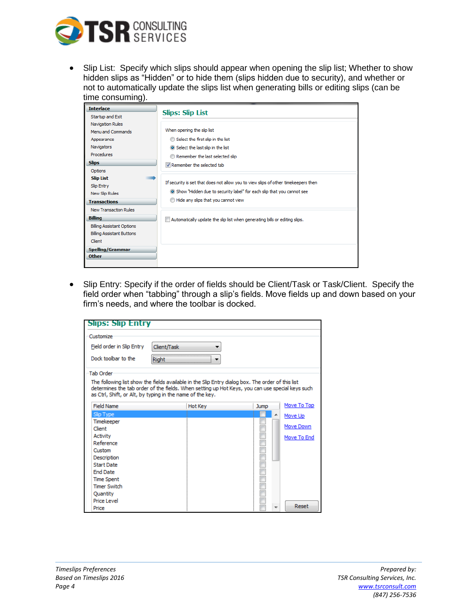

• Slip List: Specify which slips should appear when opening the slip list; Whether to show hidden slips as "Hidden" or to hide them (slips hidden due to security), and whether or not to automatically update the slips list when generating bills or editing slips (can be time consuming).

| <b>Interface</b>                 |                                                                                                              |  |
|----------------------------------|--------------------------------------------------------------------------------------------------------------|--|
| Startup and Exit                 | <b>Slips: Slip List</b>                                                                                      |  |
| <b>Navigation Rules</b>          |                                                                                                              |  |
| Menu and Commands                | When opening the slip list                                                                                   |  |
| Appearance                       | Select the first slip in the list                                                                            |  |
| Navigators                       | Select the last slip in the list                                                                             |  |
| Procedures                       | Remember the last selected slip                                                                              |  |
| <b>Slips</b>                     | V Remember the selected tab                                                                                  |  |
| Options                          |                                                                                                              |  |
| <b>Slip List</b>                 | If security is set that does not allow you to view slips of other timekeepers then                           |  |
| Slip Entry                       |                                                                                                              |  |
| New Slip Rules                   | Show "Hidden due to security label" for each slip that you cannot see<br>Hide any slips that you cannot view |  |
| <b>Transactions</b>              |                                                                                                              |  |
| <b>New Transaction Rules</b>     |                                                                                                              |  |
| <b>Billing</b>                   | Automatically update the slip list when generating bills or editing slips.                                   |  |
| <b>Billing Assistant Options</b> |                                                                                                              |  |
| <b>Billing Assistant Buttons</b> |                                                                                                              |  |
| Client                           |                                                                                                              |  |
| Spelling/Grammar                 |                                                                                                              |  |
| <b>Other</b>                     |                                                                                                              |  |
|                                  |                                                                                                              |  |

• Slip Entry: Specify if the order of fields should be Client/Task or Task/Client. Specify the field order when "tabbing" through a slip's fields. Move fields up and down based on your firm's needs, and where the toolbar is docked.

| <b>Slips: Slip Entry</b>                                                                                                                                                                                                                                          |             |                |             |             |
|-------------------------------------------------------------------------------------------------------------------------------------------------------------------------------------------------------------------------------------------------------------------|-------------|----------------|-------------|-------------|
| Customize                                                                                                                                                                                                                                                         |             |                |             |             |
| Field order in Slip Entry                                                                                                                                                                                                                                         | Client/Task |                |             |             |
|                                                                                                                                                                                                                                                                   |             |                |             |             |
| Dock toolbar to the                                                                                                                                                                                                                                               | Right       |                |             |             |
| <b>Tab Order</b>                                                                                                                                                                                                                                                  |             |                |             |             |
| The following list show the fields available in the Slip Entry dialog box. The order of this list<br>determines the tab order of the fields. When setting up Hot Keys, you can use special keys such<br>as Ctrl, Shift, or Alt, by typing in the name of the key. |             |                |             |             |
| Field Name                                                                                                                                                                                                                                                        |             | <b>Hot Key</b> | <b>Jump</b> | Move To Top |
| Slip Type                                                                                                                                                                                                                                                         |             |                | ▴           | Move Up     |
| Timekeeper                                                                                                                                                                                                                                                        |             |                |             |             |
| Client                                                                                                                                                                                                                                                            |             |                |             | Move Down   |
| <b>Activity</b>                                                                                                                                                                                                                                                   |             |                |             | Move To End |
| Reference                                                                                                                                                                                                                                                         |             |                |             |             |
| Custom                                                                                                                                                                                                                                                            |             |                |             |             |
| Description                                                                                                                                                                                                                                                       |             |                |             |             |
| <b>Start Date</b>                                                                                                                                                                                                                                                 |             |                |             |             |
| <b>End Date</b>                                                                                                                                                                                                                                                   |             |                |             |             |
| <b>Time Spent</b>                                                                                                                                                                                                                                                 |             |                |             |             |
| <b>Timer Switch</b>                                                                                                                                                                                                                                               |             |                |             |             |
| Ouantity                                                                                                                                                                                                                                                          |             |                |             |             |
| Price Level                                                                                                                                                                                                                                                       |             |                |             |             |
| Price                                                                                                                                                                                                                                                             |             |                |             | Reset       |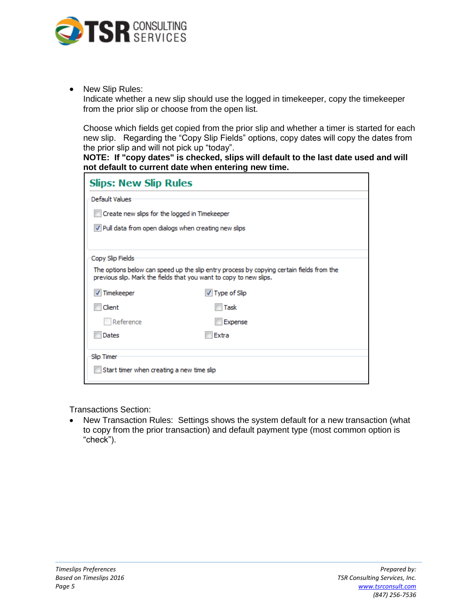

• New Slip Rules:

Indicate whether a new slip should use the logged in timekeeper, copy the timekeeper from the prior slip or choose from the open list.

Choose which fields get copied from the prior slip and whether a timer is started for each new slip. Regarding the "Copy Slip Fields" options, copy dates will copy the dates from the prior slip and will not pick up "today".

**NOTE: If "copy dates" is checked, slips will default to the last date used and will not default to current date when entering new time.**

| <b>Slips: New Slip Rules</b>                                                                                                                                   |                                                       |  |  |
|----------------------------------------------------------------------------------------------------------------------------------------------------------------|-------------------------------------------------------|--|--|
| Default Values                                                                                                                                                 |                                                       |  |  |
|                                                                                                                                                                | Create new slips for the logged in Timekeeper         |  |  |
|                                                                                                                                                                | V Pull data from open dialogs when creating new slips |  |  |
|                                                                                                                                                                |                                                       |  |  |
| Copy Slip Fields                                                                                                                                               |                                                       |  |  |
| The options below can speed up the slip entry process by copying certain fields from the<br>previous slip. Mark the fields that you want to copy to new slips. |                                                       |  |  |
| <b>√</b> Timekeeper                                                                                                                                            | $\triangledown$ Type of Slip                          |  |  |
| Client                                                                                                                                                         | Task                                                  |  |  |
| Reference                                                                                                                                                      | Expense                                               |  |  |
| Dates                                                                                                                                                          | Extra                                                 |  |  |
| Slip Timer                                                                                                                                                     |                                                       |  |  |
| Start timer when creating a new time slip                                                                                                                      |                                                       |  |  |

Transactions Section:

• New Transaction Rules: Settings shows the system default for a new transaction (what to copy from the prior transaction) and default payment type (most common option is "check").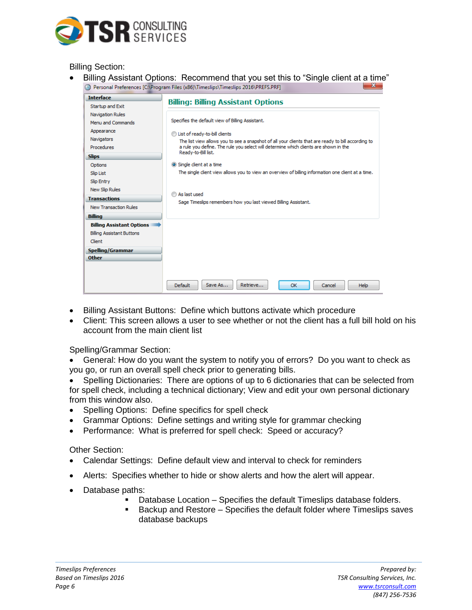

Billing Section:

 Billing Assistant Options: Recommend that you set this to "Single client at a time" Personal Preferences [C:\Program Files (x86)\Timeslips\Timeslips 2016\PREFS.PRF]  $-x-$ 

| <b>Interface</b>                 |                                                                                                    |  |  |
|----------------------------------|----------------------------------------------------------------------------------------------------|--|--|
| Startup and Exit                 | <b>Billing: Billing Assistant Options</b>                                                          |  |  |
| <b>Navigation Rules</b>          | Specifies the default view of Billing Assistant.                                                   |  |  |
| Menu and Commands                |                                                                                                    |  |  |
| Appearance                       | List of ready-to-bill clients                                                                      |  |  |
| Navigators                       | The list view allows you to see a snapshot of all your dients that are ready to bill according to  |  |  |
| Procedures                       | a rule you define. The rule you select will determine which clients are shown in the               |  |  |
| <b>Slips</b>                     | Ready-to-Bill list.                                                                                |  |  |
| Options                          | Single client at a time                                                                            |  |  |
| <b>Slip List</b>                 | The single client view allows you to view an overview of billing information one client at a time. |  |  |
| Slip Entry                       |                                                                                                    |  |  |
| New Slip Rules                   |                                                                                                    |  |  |
| <b>Transactions</b>              | As last used<br>Sage Timeslips remembers how you last viewed Billing Assistant.                    |  |  |
| New Transaction Rules            |                                                                                                    |  |  |
| <b>Billing</b>                   |                                                                                                    |  |  |
| <b>Billing Assistant Options</b> |                                                                                                    |  |  |
| <b>Billing Assistant Buttons</b> |                                                                                                    |  |  |
| Client                           |                                                                                                    |  |  |
| <b>Spelling/Grammar</b>          |                                                                                                    |  |  |
| <b>Other</b>                     |                                                                                                    |  |  |
|                                  |                                                                                                    |  |  |
|                                  |                                                                                                    |  |  |
|                                  | Retrieve<br><b>Default</b><br>Save As<br>OK<br><b>Help</b><br>Cancel                               |  |  |

- Billing Assistant Buttons: Define which buttons activate which procedure
- Client: This screen allows a user to see whether or not the client has a full bill hold on his account from the main client list

Spelling/Grammar Section:

 General: How do you want the system to notify you of errors? Do you want to check as you go, or run an overall spell check prior to generating bills.

 Spelling Dictionaries: There are options of up to 6 dictionaries that can be selected from for spell check, including a technical dictionary; View and edit your own personal dictionary from this window also.

- Spelling Options: Define specifics for spell check
- Grammar Options: Define settings and writing style for grammar checking
- Performance: What is preferred for spell check: Speed or accuracy?

Other Section:

- Calendar Settings: Define default view and interval to check for reminders
- Alerts: Specifies whether to hide or show alerts and how the alert will appear.
- Database paths:
	- Database Location Specifies the default Timeslips database folders.
	- Backup and Restore Specifies the default folder where Timeslips saves database backups